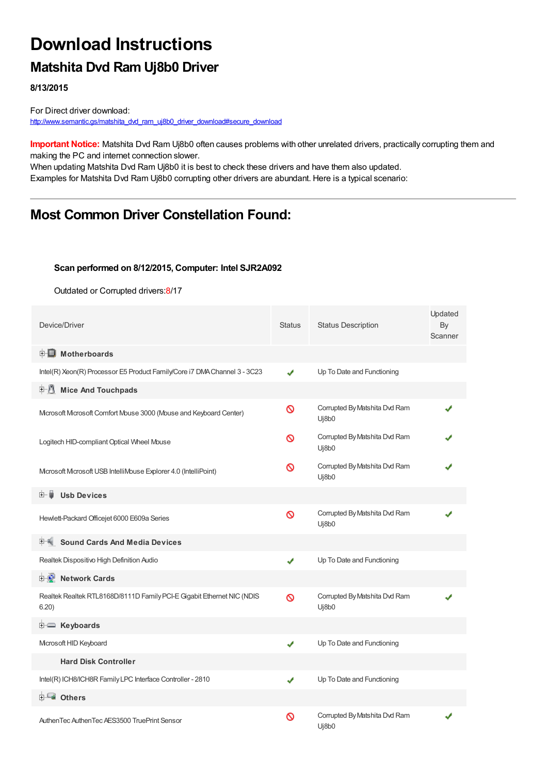## **Download Instructions**

## **Matshita Dvd Ram Uj8b0 Driver**

**8/13/2015**

For Direct driver download: [http://www.semantic.gs/matshita\\_dvd\\_ram\\_uj8b0\\_driver\\_download#secure\\_download](http://www.semantic.gs/matshita_dvd_ram_uj8b0_driver_download#secure_download)

**Important Notice:** Matshita Dvd Ram Uj8b0 often causes problems with other unrelated drivers, practically corrupting them and making the PC and internet connection slower.

When updating Matshita Dvd Ram Uj8b0 it is best to check these drivers and have them also updated. Examples for Matshita Dvd Ram Uj8b0 corrupting other drivers are abundant. Here is a typical scenario:

### **Most Common Driver Constellation Found:**

#### **Scan performed on 8/12/2015, Computer: Intel SJR2A092**

Outdated or Corrupted drivers:8/17

| Device/Driver                                                                   | Status   | <b>Status Description</b>              | Updated<br>By<br>Scanner |
|---------------------------------------------------------------------------------|----------|----------------------------------------|--------------------------|
| <b>E</b> Motherboards                                                           |          |                                        |                          |
| Intel(R) Xeon(R) Processor E5 Product Family/Core i7 DMA Channel 3 - 3C23       | ✔        | Up To Date and Functioning             |                          |
| <b>Mice And Touchpads</b>                                                       |          |                                        |                          |
| Microsoft Microsoft Comfort Mouse 3000 (Mouse and Keyboard Center)              | ∾        | Corrupted By Matshita Dvd Ram<br>Uj8b0 |                          |
| Logitech HID-compliant Optical Wheel Mouse                                      | ര        | Corrupted By Matshita Dvd Ram<br>Uj8b0 |                          |
| Microsoft Microsoft USB IntelliMouse Explorer 4.0 (IntelliPoint)                | ଷ        | Corrupted By Matshita Dvd Ram<br>Uj8b0 |                          |
| <b>Usb Devices</b><br>⊞… ■                                                      |          |                                        |                          |
| Hewlett-Packard Officejet 6000 E609a Series                                     | $\infty$ | Corrupted By Matshita Dvd Ram<br>Uj8b0 |                          |
| <b>Sound Cards And Media Devices</b>                                            |          |                                        |                          |
| Realtek Dispositivo High Definition Audio                                       | ✔        | Up To Date and Functioning             |                          |
| <b>E-D</b> Network Cards                                                        |          |                                        |                          |
| Realtek Realtek RTL8168D/8111D Family PCI-E Gigabit Ethernet NIC (NDIS<br>6.20) | ∾        | Corrupted By Matshita Dvd Ram<br>Uj8b0 |                          |
| E Keyboards                                                                     |          |                                        |                          |
| Microsoft HID Keyboard                                                          | ✔        | Up To Date and Functioning             |                          |
| <b>Hard Disk Controller</b>                                                     |          |                                        |                          |
| Intel(R) ICH8/ICH8R Family LPC Interface Controller - 2810                      | ✔        | Up To Date and Functioning             |                          |
| 由 <b>Lu</b> Others                                                              |          |                                        |                          |
| AuthenTec AuthenTec AES3500 TruePrint Sensor                                    | ଷ        | Corrupted By Matshita Dvd Ram<br>Ui8b0 |                          |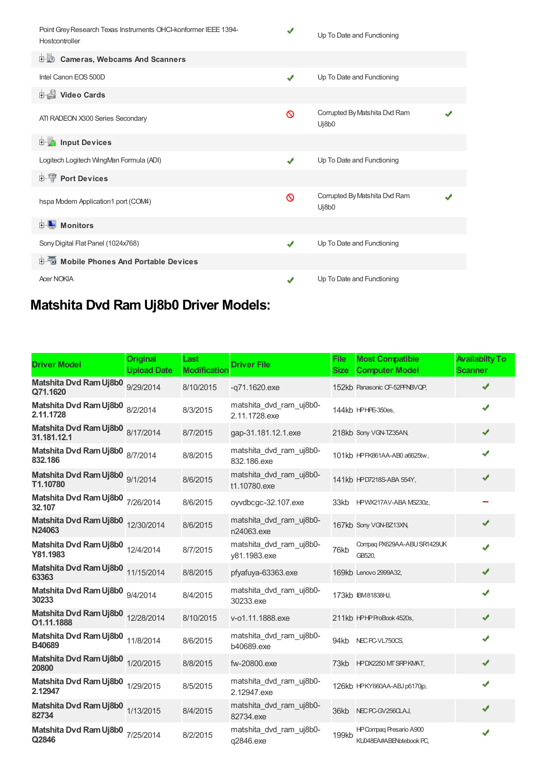| Point Grey Research Texas Instruments OHCI-konformer IEEE 1394-<br>Hostcontroller | ✔            | Up To Date and Functioning             |  |
|-----------------------------------------------------------------------------------|--------------|----------------------------------------|--|
| <b>Cameras, Webcams And Scanners</b><br>由心                                        |              |                                        |  |
| Intel Canon EOS 500D                                                              | ✔            | Up To Date and Functioning             |  |
| Video Cards                                                                       |              |                                        |  |
| ATI RADEON X300 Series Secondary                                                  | Ø            | Corrupted By Matshita Dvd Ram<br>Uj8b0 |  |
| <b>E</b> Input Devices                                                            |              |                                        |  |
| Logitech Logitech WingMan Formula (ADI)                                           | ✔            | Up To Date and Functioning             |  |
| <b>E-T</b> Port Devices                                                           |              |                                        |  |
| hspa Modem Application1 port (COM4)                                               | Ø            | Corrupted By Matshita Dvd Ram<br>Uj8b0 |  |
| <b>Monitors</b><br>中…                                                             |              |                                        |  |
| Sony Digital Flat Panel (1024x768)                                                | $\checkmark$ | Up To Date and Functioning             |  |
| <b>E</b> Mobile Phones And Portable Devices                                       |              |                                        |  |
| <b>Acer NOKIA</b>                                                                 | J            | Up To Date and Functioning             |  |

# **Matshita Dvd Ram Uj8b0 Driver Models:**

| <b>Driver Model</b>                             | <b>Original</b><br><b>Upload Date</b> | Last<br><b>Modification</b> | <b>Driver File</b>                       | <b>File</b><br><b>Size</b> | <b>Most Compatible</b><br><b>Computer Model</b>           | <b>Availabilty To</b><br><b>Scanner</b> |
|-------------------------------------------------|---------------------------------------|-----------------------------|------------------------------------------|----------------------------|-----------------------------------------------------------|-----------------------------------------|
| Matshita Dvd Ram Uj8b0<br>Q71.1620              | 9/29/2014                             | 8/10/2015                   | $-q71.1620$ .exe                         |                            | 152kb Panasonic CF-52PFNBVQP,                             | ✔                                       |
| Matshita Dvd Ram Uj8b0 8/2/2014<br>2.11.1728    |                                       | 8/3/2015                    | matshita_dvd_ram_uj8b0-<br>2.11.1728.exe |                            | 144kb HPHPE-350es,                                        | ✔                                       |
| Matshita Dvd Ram Uj8b0 8/17/2014<br>31.181.12.1 |                                       | 8/7/2015                    | gap-31.181.12.1.exe                      |                            | 218kb Sony VGN-TZ35AN,                                    |                                         |
| Matshita Dvd Ram Uj8b0 8/7/2014<br>832.186      |                                       | 8/8/2015                    | matshita dvd ram uj8b0-<br>832.186.exe   |                            | 101kb HPFK861AA-AB0 a6625tw,                              |                                         |
| Matshita Dvd Ram Uj8b0 9/1/2014<br>T1.10780     |                                       | 8/6/2015                    | matshita dvd ram uj8b0-<br>t1.10780.exe  |                            | 141kb HPD7218S-ABA 554Y,                                  |                                         |
| Matshita Dvd Ram Uj8b0 7/26/2014<br>32.107      |                                       | 8/6/2015                    | oyvdbcgc-32.107.exe                      |                            | 33kb HPWX217AV-ABA MS230z,                                |                                         |
| Matshita Dvd Ram Uj8b0 12/30/2014<br>N24063     |                                       | 8/6/2015                    | matshita dvd ram uj8b0-<br>n24063.exe    |                            | 167kb Sony VGN-BZ13XN,                                    | ✔                                       |
| Matshita Dvd Ram Uj8b0 12/4/2014<br>Y81.1983    |                                       | 8/7/2015                    | matshita dvd ram uj8b0-<br>y81.1983.exe  | 76kb                       | Compaq PX629AA-ABU SR1429UK<br>GB520.                     |                                         |
| Matshita Dvd Ram Uj8b0 11/15/2014<br>63363      |                                       | 8/8/2015                    | pfyafuya-63363.exe                       |                            | 169kb Lenovo 2999A32,                                     |                                         |
| Matshita Dvd Ram Uj8b0 9/4/2014<br>30233        |                                       | 8/4/2015                    | matshita_dvd_ram_uj8b0-<br>30233.exe     |                            | 173kb IBM81838HJ,                                         |                                         |
| Matshita Dvd Ram Uj8b0 12/28/2014<br>O1.11.1888 |                                       | 8/10/2015                   | v-o1.11.1888.exe                         |                            | 211kb HPHP ProBook 4520s,                                 |                                         |
| Matshita Dvd Ram Uj8b0 11/8/2014<br>B40689      |                                       | 8/6/2015                    | matshita dvd ram uj8b0-<br>b40689.exe    | 94kb                       | NEC PC-VL750CS,                                           |                                         |
| Matshita Dvd Ram Uj8b0 1/20/2015<br>20800       |                                       | 8/8/2015                    | fw-20800.exe                             |                            | 73kb HPDX2250 MT SRPKMAT,                                 | ✔                                       |
| Matshita Dvd Ram Uj8b0 1/29/2015<br>2.12947     |                                       | 8/5/2015                    | matshita_dvd_ram_uj8b0-<br>2.12947.exe   |                            | 126kb HPKY660AA-ABJ p6170jp,                              | ✔                                       |
| Matshita Dvd Ram Uj8b0 1/13/2015<br>82734       |                                       | 8/4/2015                    | matshita_dvd_ram_uj8b0-<br>82734.exe     |                            | 36kb NEC PC-GV256CLAJ,                                    |                                         |
| Matshita Dvd Ram Uj8b0 7/25/2014<br>Q2846       |                                       | 8/2/2015                    | matshita_dvd_ram_uj8b0-<br>q2846.exe     | 199kb                      | <b>HP Compag Presario A900</b><br>KU048EA#ABENotebook PC, |                                         |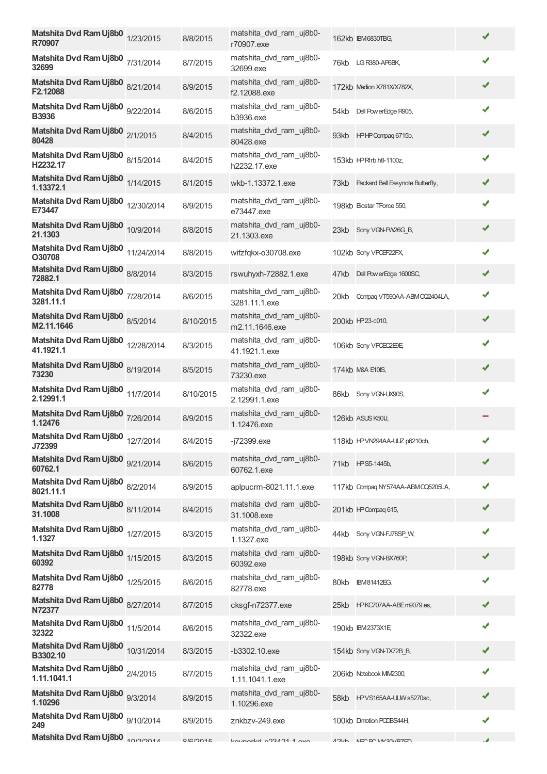| Matshita Dvd Ram Uj8b0 1/23/2015<br>R70907       | 8/8/2015  | matshita_dvd_ram_uj8b0-<br>r70907.exe       |      | 162kb IBM6830TBG,                     | ✔ |
|--------------------------------------------------|-----------|---------------------------------------------|------|---------------------------------------|---|
| Matshita Dvd Ram Uj8b0 7/31/2014<br>32699        | 8/7/2015  | matshita_dvd_ram_uj8b0-<br>32699.exe        |      | 76kb LGR380-AP6BK,                    | ✔ |
| Matshita Dvd Ram Uj8b0 8/21/2014<br>F2.12088     | 8/9/2015  | matshita_dvd_ram_uj8b0-<br>f2.12088.exe     |      | 172kb Medion X781X/X782X,             | ✔ |
| Matshita Dvd Ram Uj8b0 9/22/2014<br><b>B3936</b> | 8/6/2015  | matshita_dvd_ram_uj8b0-<br><b>b3936.exe</b> | 54kb | Dell Pow erEdge R905,                 | ✔ |
| Matshita Dvd Ram Uj8b0 2/1/2015<br>80428         | 8/4/2015  | matshita_dvd_ram_uj8b0-<br>80428.exe        |      | 93kb HPHPCompag 6715b,                | ✔ |
| Matshita Dvd Ram Uj8b0 8/15/2014<br>H2232.17     | 8/4/2015  | matshita_dvd_ram_uj8b0-<br>h2232.17.exe     |      | 153kb HPRfrb h8-1100z,                | ✔ |
| Matshita Dvd Ram Uj8b0 1/14/2015<br>1.13372.1    | 8/1/2015  | wkb-1.13372.1.exe                           |      | 73kb Packard Bell Easynote Butterfly, | ✔ |
| Matshita Dvd Ram Uj8b0 12/30/2014<br>E73447      | 8/9/2015  | matshita_dvd_ram_uj8b0-<br>e73447.exe       |      | 198kb Biostar TForce 550,             | ✔ |
| Matshita Dvd Ram Uj8b0 10/9/2014<br>21.1303      | 8/8/2015  | matshita_dvd_ram_uj8b0-<br>21.1303.exe      |      | 23kb Sony VGN-FW26G_B,                | ✔ |
| Matshita Dvd Ram Uj8b0 11/24/2014<br>O30708      | 8/8/2015  | wifzfqkx-o30708.exe                         |      | 102kb Sony VPOEF22FX,                 | ✔ |
| Matshita Dvd Ram Uj8b0 8/8/2014<br>72882.1       | 8/3/2015  | rswuhyxh-72882.1.exe                        | 47kb | Dell Pow erEdge 1600SC,               | ✔ |
| Matshita Dvd Ram Uj8b0 7/28/2014<br>3281.11.1    | 8/6/2015  | matshita_dvd_ram_uj8b0-<br>3281.11.1.exe    | 20kb | Compaq VT590AA-ABMCQ2404LA,           | ✔ |
| Matshita Dvd Ram Uj8b0 8/5/2014<br>M2.11.1646    | 8/10/2015 | matshita_dvd_ram_uj8b0-<br>m2.11.1646.exe   |      | 200kb HP23-c010,                      | ✔ |
| Matshita Dvd Ram Uj8b0 12/28/2014<br>41.1921.1   | 8/3/2015  | matshita_dvd_ram_uj8b0-<br>41.1921.1.exe    |      | 106kb Sony VPOEC2E9E,                 | ✔ |
| Matshita Dvd Ram Uj8b0 8/19/2014<br>73230        | 8/5/2015  | matshita_dvd_ram_uj8b0-<br>73230.exe        |      | 174kb M&A E10IS,                      | ✔ |
| Matshita Dvd Ram Uj8b0 11/7/2014<br>2.12991.1    | 8/10/2015 | matshita dvd ram uj8b0-<br>2.12991.1.exe    |      | 86kb Sony VGN-UX90S,                  | ✔ |
| Matshita Dvd Ram Uj8b0 7/26/2014<br>1.12476      | 8/9/2015  | matshita_dvd_ram_uj8b0-<br>1.12476.exe      |      | 126kb ASUS K50IJ,                     |   |
| Matshita Dvd Ram Uj8b0 12/7/2014<br>J72399       | 8/4/2015  | -j72399.exe                                 |      | 118kb HPVN294AA-UUZ p6210ch,          |   |
| Matshita Dvd Ram Uj8b0 9/21/2014<br>60762.1      | 8/6/2015  | matshita_dvd_ram_uj8b0-<br>60762.1.exe      |      | 71kb HPS5-1445b,                      | ✔ |
| Matshita Dvd Ram Uj8b0 8/2/2014<br>8021.11.1     | 8/9/2015  | aplpucrm-8021.11.1.exe                      |      | 117kb Compaq NY574AA-ABM CQ5205LA,    | ✔ |
| Matshita Dvd Ram Uj8b0 8/11/2014<br>31.1008      | 8/4/2015  | matshita_dvd_ram_uj8b0-<br>31.1008.exe      |      | 201kb HP Compaq 615,                  | ✔ |
| Matshita Dvd Ram Uj8b0 1/27/2015<br>1.1327       | 8/3/2015  | matshita_dvd_ram_uj8b0-<br>1.1327.exe       |      | 44kb Sony VGN-FJ78SP W.               | ✔ |
| Matshita Dvd Ram Uj8b0 1/15/2015<br>60392        | 8/3/2015  | matshita_dvd_ram_uj8b0-<br>60392.exe        |      | 198kb Sony VGN-BX760P,                | ✔ |
| Matshita Dvd Ram Uj8b0 1/25/2015<br>82778        | 8/6/2015  | matshita_dvd_ram_uj8b0-<br>82778.exe        | 80kb | <b>IBM81412EG,</b>                    | ✔ |
| Matshita Dvd Ram Uj8b0 8/27/2014<br>N72377       | 8/7/2015  | cksgf-n72377.exe                            |      | 25kb HPKC707AA-ABEm9079.es,           | ✔ |
| Matshita Dvd Ram Uj8b0 11/5/2014<br>32322        | 8/6/2015  | matshita_dvd_ram_uj8b0-<br>32322.exe        |      | 190kb IBM2373X1E                      | ✔ |
| Matshita Dvd Ram Uj8b0 10/31/2014<br>B3302.10    | 8/3/2015  | $-b3302.10$ .exe                            |      | 154kb Sony VGN-TX72B B,               | ✔ |
| Matshita Dvd Ram Uj8b0 2/4/2015<br>1.11.1041.1   | 8/7/2015  | matshita_dvd_ram_uj8b0-<br>1.11.1041.1.exe  |      | 206kb Notebook MM2300,                | ✔ |
| Matshita Dvd Ram Uj8b0 9/3/2014<br>1.10296       | 8/9/2015  | matshita_dvd_ram_uj8b0-<br>1.10296.exe      |      | 58kb HPVS165AA-UUWs5270sc,            | ✔ |
| Matshita Dvd Ram Uj8b0 9/10/2014<br>249          | 8/9/2015  | znkbzv-249.exe                              |      | 100kb Dimotion PCDBS44H,              | ✔ |
| Matshita Dvd Ram Uj8b0                           | Q/R/2015  | $kmmark$ d northern $m$                     |      | AOISH NECEC MAGON / DZED              |   |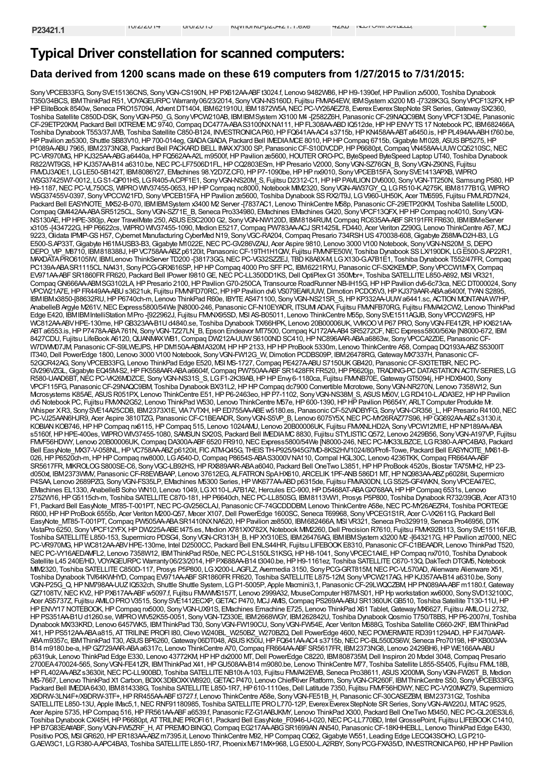### **Typical Driver constellation for scanned computers:**

### **Data derived from 1200 scans made on these 619 computers from 1/27/2015 to 7/31/2015:**

Sony VPCEB33FG, Sony SVE15136CNS, Sony VGN-CS190N, HP PX612AA-ABFt3024.f, Lenovo 9482W86, HP H9-1390ef, HP Pavilion zv5000, Toshiba Dynabook T350/34BCS, IBMThinkPad R51, VOYAGEURPC Warranty06/23/2014, SonyVGN-NS160D, Fujitsu FMVA54EW, IBMSystem x3200 M3 -[7328K3G, SonyVPCF132FX,HP HP EliteBook 8540w, Seneca PRO157094, Advent DT1404, IBM621910U, IBM1872W5A, NEC PC-VY26AEZ78, Everex Everex StepNote SR Series, Gateway SX2360, Toshiba Satellite C850D-DSK, SonyVGN-P50\_G, SonyVPCW210AB, IBMIBMSystem X3100 M4 -[2582Z6H, PanasonicCF-29NAQC9BM, SonyVPCF13D4E, Panasonic CF-29ETP20KM, Packard Bell IXTREMEMC9740,Compaq DC477A-ABAS3100NXNA111,HPFL308AA-ABDIQ512de,HPHPENVYTS17 Notebook PC, IBM682466A, Toshiba Dynabook T553/37JWB, Toshiba Satellite C850-B124, INVESTRONICA P60, HP FQ641AA-AC4 s3715b, HP KN458AA-ABT a6450.is, HP PL494AA-ABH t760.be, HP Pavilion ze5300, Shuttle SB83V10, HP 700-014eg, GIADA GIADA, Packard Bell IMEDIAMCE 8010, HP HP Compaq 6715b, Gigabyte M1028, ASUS BP5275, HP P1089A-ABU 7965, IBM2373NG8, Packard Bell PACKARD BELL IMAXX7300 SP, Panasonic CF-S10DVCDP, HP P6680pt, Compaq VN458AA-UUW CQ5210SC, NEC PC-VR970MG, HP KJ325AA-ABG a6440a, HP FQ562AA-A2L m9500f, HP Pavilion ze5600, HOUTER ORO-PC, ByteSpeed ByteSpeed Laptop UT40, Toshiba Dynabook R822/WT9GS,HPKJ357AA-B14 a6310.be,NECPC-LF7506D1FL,HPCQ2803ESm,HPPresario V2000, SonyVGN-SZ76GN\_B, SonyVGN-Z90NS, Fujitsu FMDJ3A0E1, LGLE50-5B142T, IBM8086Y27, EMachines 98.Y2D7Z.CF0, HP P7-1090be, HP HP nx9010, Sony VPCEB15FA, Sony SVE1413APXB, WIPRO WSG37425W7-0012, LGS1-QP01HS, LGR405-A.CPF1E1, SonyVGN-NS20M\_S, Fujitsu D2312-C1,HPHPPAVILIONDV6000, SonyVGN-TT250N, Samsung P580,HP H9-1187,NECPC-VL750CS, WIPROWIV37455-0653,HPHPCompaq nc8000,Notebook MIM2320, SonyVGN-AW37GY\_Q, LGR510-K.A275K, IBM8177B1G, WIPRO WSG37455V-0397, SonyVPCCW21FD, SonyVPCEB15FA,HPPavilion ze5600, Toshiba Dynabook SSRX2/T9J, LGV960-UH50K, Acer TM6595, Fujitsu FMVLRD7N24, Packard Bell EASYNOTE\_MX52-B-070, IBM IBM System x3400 M2 Server -[7837AC1, Lenovo ThinkCentre M58p, Panasonic CF-29ETP20KM, Toshiba Satellite L500D, CompaqGM442AA-ABASR5125CL, SonyVGN-SZ71E\_B, Seneca Pro334980, EMachines EMachines G420, SonyVPCF13QFX,HPHPCompaq nc4010, SonyVGN-NS130AE,HPHPE-380jp, Acer TravelMate 250, ASUSESC2000G2, SonyVGN-NW120D, IBM8184RUM,Compaq RC635AA-ABFSR191FRFR630, IBMIBMeServer x3105 -[434722G,HPP6622cs, WIPROWIV37455-1090, Medion E5217,Compaq PW783AA-ACJ SR1425IL FD440, Acer Veriton Z290G, Lenovo ThinkCentre A57, MCJ 9223, Olidata IPMP-GS H57, Cybernet Manufacturing CyberMed N19, Sony VGC-RA204, Compaq Presario 734RSH US 470038-608, Gigabyte Z68MA-D2H-B3, LG E500-S.AP33T,Gigabyte H61M-USB3-B3,Gigabyte M1022E,NECPC-GV286VZAU, Acer Aspire 9810, Lenovo 3000 V100 Notebook, SonyVGN-NS20M\_S,DEPO DEPO\_VIP\_M8710, IBM818388J,HPVC758AA-ABZp6120it, PanasonicCF-19TH1H1QW, Fujitsu FMVNFE50W, Toshiba Dynabook SSLX/190DK, LGE500-S.AP22R1, MAXDATAPRO6105IW, IBMLenovo ThinkServer TD200 -[38173GG, NEC PC-VG32SZZEJ, TBD K8A8X-M, LG X130-G.A7B1E1, Toshiba Dynabook T552/47FR, Compaq PC139A-ABASR1115CL NA431, SonyPCG-GRX616SP, HP HP Compaq 4000 Pro SFFPC, IBM6221RYU, Panasonic CF-SX2KEMDP, SonyVPCCW1MFX, Compaq EV971AA-ABFSR1860FRFR620, Packard Bell IPower I9810 GE, NEC PC-LL350DD1KS, Dell OptiPlex G1 350Mbr+, Toshiba SATELLITE L850-A892, MSI VR321 Compaq GN666AA-ABMSG3102LA, HP Presario 2100, HP Pavilion G70-250CA, Transource RoadRunner NB-IH15G, HP HP Pavilion dv6-6c73ca, NEC DT000024, Sony VPCW21A7E,HPFR449AA-ABUs3621uk, Fujitsu FMVNFD70RC,HPHPPavilion dv6 VS079EA#UUW,Dimotion PCDO5V3,HPKJ379AAR-ABAa6400f, TYANS2895, IBMIBMx3850-[88632RU, HP P6740ch-m, Lenovo ThinkPad R60e, IBYTE AS471100, Sony VGN-NS21SR\_S, HPKP332AA-UUWa6441.sc, ACTION MONTANAW7HP AnabelleB Argyle M261V, NEC Express5800/54We [N8000-246, Panasonic CF-N10EYADR, ITSUM ADAX, Fujitsu FMMHB70RG, Fujitsu FMVA42CW2, Lenovo ThinkPad Edge E420, IBM IBM IntelliStation MPro -[922962J, Fujitsu FMNX95SD, MSI AS-B05011, Lenovo ThinkCentre M55p, Sony SVE1511AGJB, Sony VPCCW29FS, HP WC812AA-ABVHPE-130me,HPGB323AA-B1Ud4840.se, Toshiba Dynabook TX/66HPK, Lenovo 20B00006UK, VVIKOOVI P67 PRO, SonyVGN-FE41ZR,HPKX621AA-ABTa6553.is, HP P7478A-ABA761N, Sony VGN-TZ27LN\_B, Epson Endeavor MT7500, Compaq KJ172AA-AB4 SR5272CF, NEC Express5800/56Xe [N8000-672, IBM 8427CDU, Fujitsu LifeBook A6120, QUANMAXWB1, Compaq DW212A-UUWS6100ND SC410, HP NC896AAR-ABA a6863w, Sony VPCCA2Z0E, Panasonic CF-W7DWM07JM, PanasonicCF-S9LWEJPS,HPDM150A-ABMA320M,HPHP2133,HPHPProBook 5330m, Lenovo ThinkCentre A58,Compaq DQ193A-ABZS5300IT IT340,Dell PowerEdge 1800, Lenovo 3000 V100 Notebook, SonyVGN-FW12G\_W,Dimotion PCDBS09P, IBM26478RG,GatewayMX7337H, PanasonicCF-52GCR42AG, Sony VPCEB33FG, Lenovo ThinkPad Edge E520, NSI MS-1727, Compaq PE427A-ABU S7150UKGB420, Panasonic CF-SX3TETBR, NEC PC-GV296VZGL, Gigabyte EQ45M-S2, HP FK558AAR-ABA a6604f, Compaq PW750AA-ABF SR1428FR FR520, HP P6620jp, TRADING-PC DATASTATION ACTIV SERIES, LG R580-UAAD6BT, NEC PC-VK26MDZCE, Sony VGN-NS31S\_S, LGF1-2K39AB, HP HP Envy 6-1180ca, Fujitsu FMMB70E, Gateway GT5094j, HP HDX9400, Sony VPCF115FG, PanasonicCF-29NAQC9BM, Toshiba Dynabook BX/31L2,HPHPCompaq dc7900 Convertible Microtowe, SonyVGN-NR270N, Lenovo 7358W12, Sun Mcrosystems K85AE, ASUSR051PX, Lenovo ThinkCentre E51, HPP6-2463eo, HPP7-1102, Sony VGN-NS38M\_S, ASUS M50V, LGRD410-L.ADA3E2, HPHPPavilion dv5 Notebook PC, Fujitsu FMVXN2G52, Lenovo ThinkPad W530, Lenovo ThinkCentre M57e, HP 600-1390, HP HP Pavilion P6654Y, ARLT Computer Produkte Mr. Whisper XR3, SonySVE14A25CDB, IBM2373X1E, VIA7VTXH, HPED755AA-ABE w5180.es, Panasonic CF-52VADBYFG, Sony VGN-CR356\_L, HP Presario R4100, NEC PC-VJ25AAN6HJR9, Acer Aspire 3810TZG, Panasonic CF-C1BEAADR, Sony VGN-S5VP\_B, Lenovo 6075Y5X, NEC PC-MY26RAZ77S96, HP GG692AA-ABZ s3130.it, KOBIAN KOB746, HP HP Compaq nx6115, HP Compaq 515, Lenovo 1024AMU, Lenovo 20B00006UK, Fujitsu FMVXNLHD2A, Sony VPCW12M1E, HP NP189AA-ABA s5160f,HPHPE-400es, WIPROWIV37455-1080, SAMSUNSX20S, Packard Bell IMEDIAMC8830, Fujitsu STYLISTICQ572, Lenovo 2429B56, SonyVGN-A197VP, Fujitsu FMVF56HDWY, Lenovo 20B00006UK,Compaq DA300A-ABF6520 FR910,NECExpress5800/54We [N8000-246,NECPC-MK33LBZCE, LGR380-A.APC4BA3, Packard Bell EasyNote\_MX37-V-058NL, HPVC758AA-ABZp6120it, FICATM-Q45G, THEISTH-P925/945G7MD-8KS2HV/1024/80/Profi-Towe, Packard Bell EASYNOTE\_MX61-B-026, HP P6520ch-m, HP HP Compaq nw8000, LGA540-D, Compaq P8654S-ABAS3000VNA110, Compal HGL30C, Lenovo 4236TKK, Compaq FR664AA-ABF SR5617FR, MKROLOG S800SE-C6, Sony VGC-LB92HS, HP RX889AAR-ABA a6040, Packard Bell OneTwo L3851, HP HP ProBook 4520s, Biostar TA75MH2, HP 23d050xt, IBM2373WMV, Panasonic CF-R8EWBAAP, Lenovo 37612EG, ALFATRON SpAHX610, ARCELIK1PF-ANB586D1 MT, HPNQ983AA-ABZp6028it, Supermicro P4SAA, Lenovo 2689PZG, Sony VGN-FS35LP, EMachines M5300 Series, HP WK677AA-ABD p6315de, Fujitsu FMVA30DN, LG S525-GF4WKN, Sony VPCEA47EC, EMachines EL1330, AnabelleBSoho WN10, Lenovo 1049, LGX110-L.A7B1A2,Hercules EC-900,HPD5468AT-ABAGX768AA,HPHPCompaq 6531s, Lenovo 2752W16, HP G5115ch-m, Toshiba SATELLITE C870-181, HP P6640ch, NEC PC-LL850SG, IBM8113WM, Prosys P5P800, Toshiba Dynabook R732/39GB, Acer AT310 F1, Packard Bell EasyNote\_MT85-T-001PT, NEC PC-GV256CLAJ, Panasonic CF-74GCDDDBM, Lenovo ThinkCentre A58e, NEC PC-MY26AEZR4, Toshiba PORTEGE R600,HPHPProBook 6555b, Acer Veriton M200-Q57, Mecer X107,Dell PowerEdge 1600SC, Seneca T69968, SonyVPCEG1S1R, Acer C-VX2611G, Packard Bell EasyNote\_MT85-T-001PT,Compaq PW505AA-ABASR1410NXNA520,HPPavilion ze8500, IBM682466A, MSI VR321, Seneca Pro329919, Seneca Pro46956,DTK VistaPro 6250, Sony VPCF12YFX, HP DW225A-ABEt475.es, Medion X781X/X782X, Notebook MIM2260, Dell Precision R7610, Fujitsu FMMX92B113, Sony SVE15116FJB, Toshiba SATELLITEL850-153, Supermicro PDSG4, SonyVGN-CR313H\_B,HPXY310ES, IBM26476AG, IBMIBMSystem x3200 M2 -[643217G,HPPavilion zd7000,NEC PC-VR970MG,HP WC812AA-ABVHPE-130me, Intel D2500CC, Packard Bell ENLS44HR, Fujitsu LIFEBOOKE8310, PanasonicCF-C1BEAADR, Lenovo ThinkPad T520, NEC PC-VY16AEDAMFL2, Lenovo 7358W12, IBMThinkPad R50e, NEC PC-LS150LS1KSG, HP H8-1041, Sony VPCEC1A4E, HP Compaq nx7010, Toshiba Dynabook Satellite L45 240E/HD, VOYAGEURPC Warranty06/23/2014, HP PX688AA-B14 t3040.be, HP H9-1161ez, Toshiba SATELLITE C670-13Q, DakTech DTGW5, Notebook MIM2320, Toshiba SATELLITEC850D-117, Prosys P5P800, LGX200-L.AGFLZ, Avermedia 3150, SonyPCG-GRT815M,NECPC-VL570AD, Alienware Alienware X51, Toshiba Dynabook TV/64KWHYD,Compaq EV971AA-ABFSR1860FRFR620, Toshiba SATELLITEL875-12M, SonyVPCW217AG,HPKJ357AA-B14 a6310.be, Sony VGN-P25G\_Q,HPNM798AA-UUZIQ532ch, Shuttle Shuttle System, LGP1-5005P, Apple Macmini3,1, PanasonicCF-29LWQCZBM,HPPN089AA-ABFm1180.f,Gateway GZ7108TV, NEC KV2, HP PX617AA-ABF w5097.f, Fujitsu FMVMVS157T, Lenovo 2999A32, MouseComputer H87M-S01, HP Hp workstation xw6000, Sony SVD132100C Acer AS5737Z, Fujitsu AMLOPROV3515, Sony SVE1412ECXP, GETAC P470, MCJ AMS, Compaq PS269AA-ABU SR1360UK GB510, Toshiba Satellite T130-11U, HP HPENVY17 NOTEBOOK,HPCompaq nx5000, SonyVGN-UX91S, EMachines Emachine E725, Lenovo ThinkPad X61 Tablet,GatewayMX6627, Fujitsu AMILOLi 2732, HPPS351AA-B1Ud1260.se, WIPROWIV52K55-0051, SonyVGN-TZ330E, IBM2668WGY, IBM262842U, Toshiba DynabookQosmio T750/T8BS,HPP6-2007nl, Toshiba Dynabook MX/33KRD, Lenovo 6457WK5, IBMThinkPad T30, SonyVGN-FW190CU, SonyVGN-FW54E, Acer Veriton M688G, Toshiba Satellite C660-2KF, IBMThinkPad X41,HPPS512AA-ABAa815, ATTRILINEPROFI I80,Clevo W240BL\_W250BZ\_W270BZQ,Dell PowerEdge 4600,NECPOWERMATERD3911294AD,HPFJ470AAR-ABAm9357c, IBMThinkPad T30, ASUS BP6260, Gateway 06DT048, ASUS K50IJ, HP FQ641AA-AC4 s3715b, NEC PC-BL550DS6W, Seneca Pro70198, HP KB003AA-B14 m9180.be-a, HP GZ729AAR-ABAa6317c, Lenovo ThinkCentre A70, Compaq FR664AA-ABF SR5617FR, IBM2373NG8, Lenovo 2429BH6, HP WE166AA-ABU p6319uk, Lenovo ThinkPad Edge E330, Lenovo 43772KM,HPHPdx2000 MT,Dell PowerEdge C8220, IBM808735M,Dell Inspiron 20 Model 3048,Compaq Presario 2700EA470024-565, SonyVGN-FE41ZR, IBMThinkPad X41,HPGU508AA-B14 m9080.be, Lenovo ThinkCentre M77, Toshiba Satellite L855-S5405, Fujitsu FMVL18B, HP FL402AA-ABZ s3630it, NEC PC-LL900BD, Toshiba SATELLITE NB10t-A-103, Fujitsu FMVA42EWB, Seneca Pro38611, ASUS X200MA, Sony VGN-FW26T\_B, Medion MS-7667, Lenovo ThinkPad X1 Carbon, BOXX3DBOXXW8920, GETAC P470, Lenovo ChiefRiver Platform, Sony VGN-CR260F, IBM ThinkCentre S50, Sony VPCEB33FG, Packard Bell IMEDIA6430, IBM814338G, Toshiba SATELLITE L850-1R7, HP610-1110es, Dell Latitude 7350, Fujitsu FMMF56HDWY, NEC PC-VY20MAZ79, Supermicro X9DRW-3LN4F+/X9DRW-3TF+,HPRR455AA-ABFt3727.f, Lenovo ThinkCentre A58e, SonyVGN-FE51B\_H, PanasonicCF-30CASEZBM, IBM23731G2, Toshiba SATELLITE L850-13U, Apple IMac5,1, NEC RNF91180985, Toshiba SATELLITE PRO L770-12P, Everex Everex StepNote SR Series, Sony VGN-AW220J, MTAC 9525, Acer Aspire 5735,HPCompaq 516,HPFR561AA-ABFa6539.f, Panasonic FZ-G1AABJKMY, Lenovo ThinkPad X300, Packard Bell OneTwo M3450,NECPC-GL20ES3L6, Toshiba Dynabook CX45H, HP P6680pt, AT TRILINE PROFI 61, Packard Bell EasyNote\_F0946-U-020, NEC PC-LL770BD, Intel GrossePoint, Fujitsu LIFEBOOK C1410, HPB7G83EA#ABF, SonyVGN-FW5ZRF\_H, ATPREMIOBINGO,Compaq EG217AA-ABGSR1699ANAN540, PanasonicCF-18KHHEBLL, Lenovo ThinkPad Edge E430, Positivo POS, MSI GR620, HP ER183AA-ABZ m7395.it, Lenovo ThinkCentre M92, HP Compaq CQ62, Gigabyte W551, Leading Edge LECQ43SOHO, LG P210-G.AEW3C1, LGR380-A.APC4BA3, Toshiba SATELLITEL850-1R7, PhoenixM671MX+968, LGE500-L.A2RBY, SonyPCG-FXA35/D, INVESTRONICAP60,HPHPPavilion